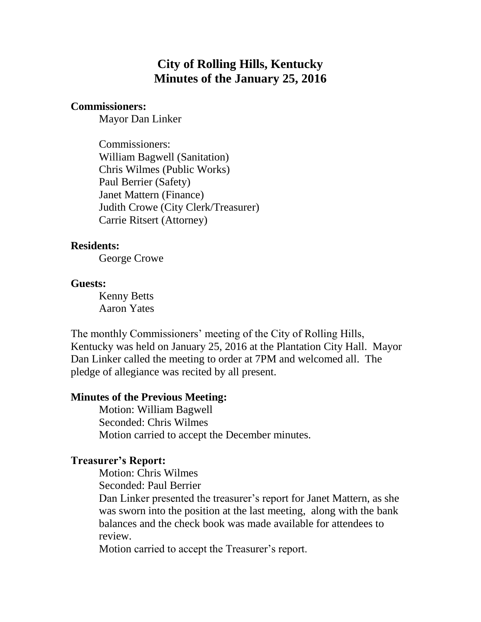# **City of Rolling Hills, Kentucky Minutes of the January 25, 2016**

#### **Commissioners:**

Mayor Dan Linker

Commissioners: William Bagwell (Sanitation) Chris Wilmes (Public Works) Paul Berrier (Safety) Janet Mattern (Finance) Judith Crowe (City Clerk/Treasurer) Carrie Ritsert (Attorney)

#### **Residents:**

George Crowe

#### **Guests:**

Kenny Betts Aaron Yates

The monthly Commissioners' meeting of the City of Rolling Hills, Kentucky was held on January 25, 2016 at the Plantation City Hall. Mayor Dan Linker called the meeting to order at 7PM and welcomed all. The pledge of allegiance was recited by all present.

#### **Minutes of the Previous Meeting:**

Motion: William Bagwell Seconded: Chris Wilmes Motion carried to accept the December minutes.

#### **Treasurer's Report:**

Motion: Chris Wilmes

Seconded: Paul Berrier

Dan Linker presented the treasurer's report for Janet Mattern, as she was sworn into the position at the last meeting, along with the bank balances and the check book was made available for attendees to review.

Motion carried to accept the Treasurer's report.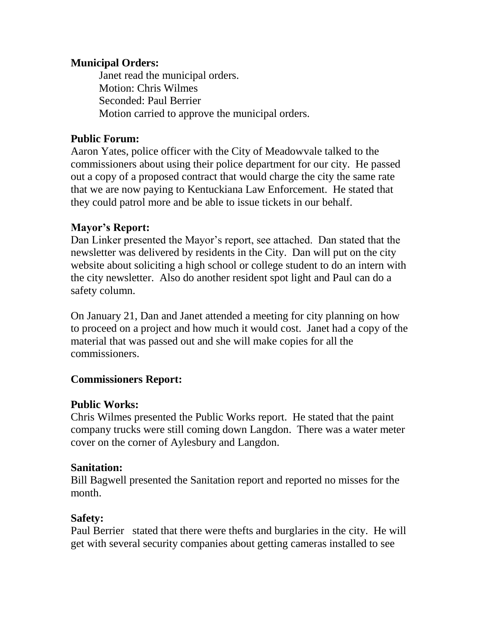### **Municipal Orders:**

Janet read the municipal orders. Motion: Chris Wilmes Seconded: Paul Berrier Motion carried to approve the municipal orders.

## **Public Forum:**

Aaron Yates, police officer with the City of Meadowvale talked to the commissioners about using their police department for our city. He passed out a copy of a proposed contract that would charge the city the same rate that we are now paying to Kentuckiana Law Enforcement. He stated that they could patrol more and be able to issue tickets in our behalf.

### **Mayor's Report:**

Dan Linker presented the Mayor's report, see attached. Dan stated that the newsletter was delivered by residents in the City. Dan will put on the city website about soliciting a high school or college student to do an intern with the city newsletter. Also do another resident spot light and Paul can do a safety column.

On January 21, Dan and Janet attended a meeting for city planning on how to proceed on a project and how much it would cost. Janet had a copy of the material that was passed out and she will make copies for all the commissioners.

## **Commissioners Report:**

### **Public Works:**

Chris Wilmes presented the Public Works report. He stated that the paint company trucks were still coming down Langdon. There was a water meter cover on the corner of Aylesbury and Langdon.

### **Sanitation:**

Bill Bagwell presented the Sanitation report and reported no misses for the month.

### **Safety:**

Paul Berrier stated that there were thefts and burglaries in the city. He will get with several security companies about getting cameras installed to see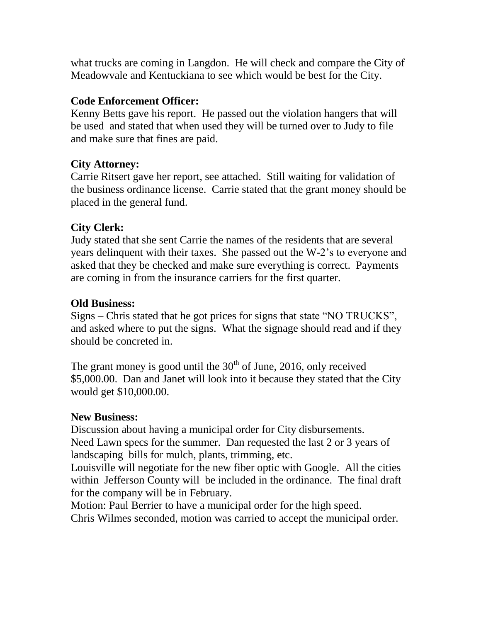what trucks are coming in Langdon. He will check and compare the City of Meadowvale and Kentuckiana to see which would be best for the City.

### **Code Enforcement Officer:**

Kenny Betts gave his report. He passed out the violation hangers that will be used and stated that when used they will be turned over to Judy to file and make sure that fines are paid.

# **City Attorney:**

Carrie Ritsert gave her report, see attached. Still waiting for validation of the business ordinance license. Carrie stated that the grant money should be placed in the general fund.

# **City Clerk:**

Judy stated that she sent Carrie the names of the residents that are several years delinquent with their taxes. She passed out the W-2's to everyone and asked that they be checked and make sure everything is correct. Payments are coming in from the insurance carriers for the first quarter.

## **Old Business:**

Signs – Chris stated that he got prices for signs that state "NO TRUCKS", and asked where to put the signs. What the signage should read and if they should be concreted in.

The grant money is good until the  $30<sup>th</sup>$  of June, 2016, only received \$5,000.00. Dan and Janet will look into it because they stated that the City would get \$10,000.00.

## **New Business:**

Discussion about having a municipal order for City disbursements. Need Lawn specs for the summer. Dan requested the last 2 or 3 years of landscaping bills for mulch, plants, trimming, etc.

Louisville will negotiate for the new fiber optic with Google. All the cities within Jefferson County will be included in the ordinance. The final draft for the company will be in February.

Motion: Paul Berrier to have a municipal order for the high speed. Chris Wilmes seconded, motion was carried to accept the municipal order.